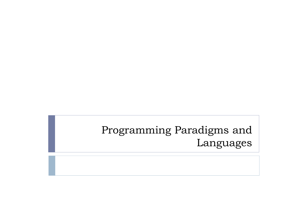Programming Paradigms and Languages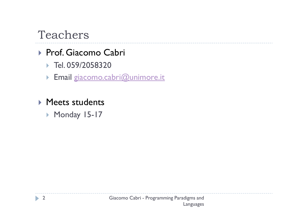## Teachers

# De Prof. Giacomo Cabri<br>Prof. Osquassona

- Tel. 059/2058320
- **Email giacomo.cabri@unimore.it**
- ▶ Meets students
	- Monday 15-17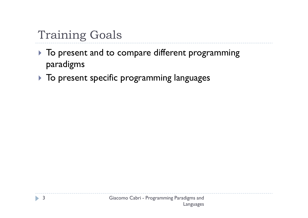## Training Goals

- $\blacktriangleright$  To present and to compare different programming paradigms
- $\blacktriangleright$  To present specific programming languages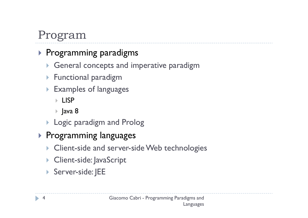## Program

#### $\blacktriangleright$  Programming paradigms

- General concepts and imperative paradigm
- $\blacktriangleright$  Functional paradigm
- Examples of languages
	- LISP
	- Java 8
- Logic paradigm and Prolog
- **Programming languages**<br>Client side and server si
	- ▶ Client-side and server-side Web technologies
	- ▶ Client-side: JavaScript
	- Server-side: JEE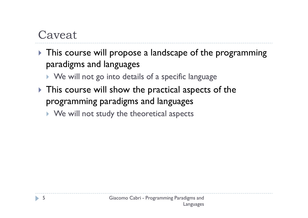## Caveat

 $\blacktriangleright$  This course will propose a landscape of the programming paradigms and languages

 $\blacktriangleright$  We will not go into details of a specific language

- $\blacktriangleright$  This course will show the practical aspects of the programming paradigms and languages
	- $\blacktriangleright$  We will not study the theoretical aspects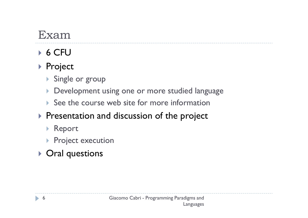## Exam

## $\triangleright$  6 CFU

#### ▶ Project

- Single or group
- Development using one or more studied language
- $\blacktriangleright$  See the course web site for more information

#### $\blacktriangleright$  Presentation and discussion of the project

- Report
- **Project execution**

### Oral questions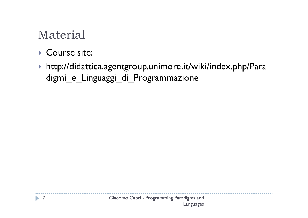## Material

#### ▶ Course site:

 http://didattica.agentgroup.unimore.it/wiki/index.php/Paradigmi\_e\_Linguaggi\_di\_Programmazione